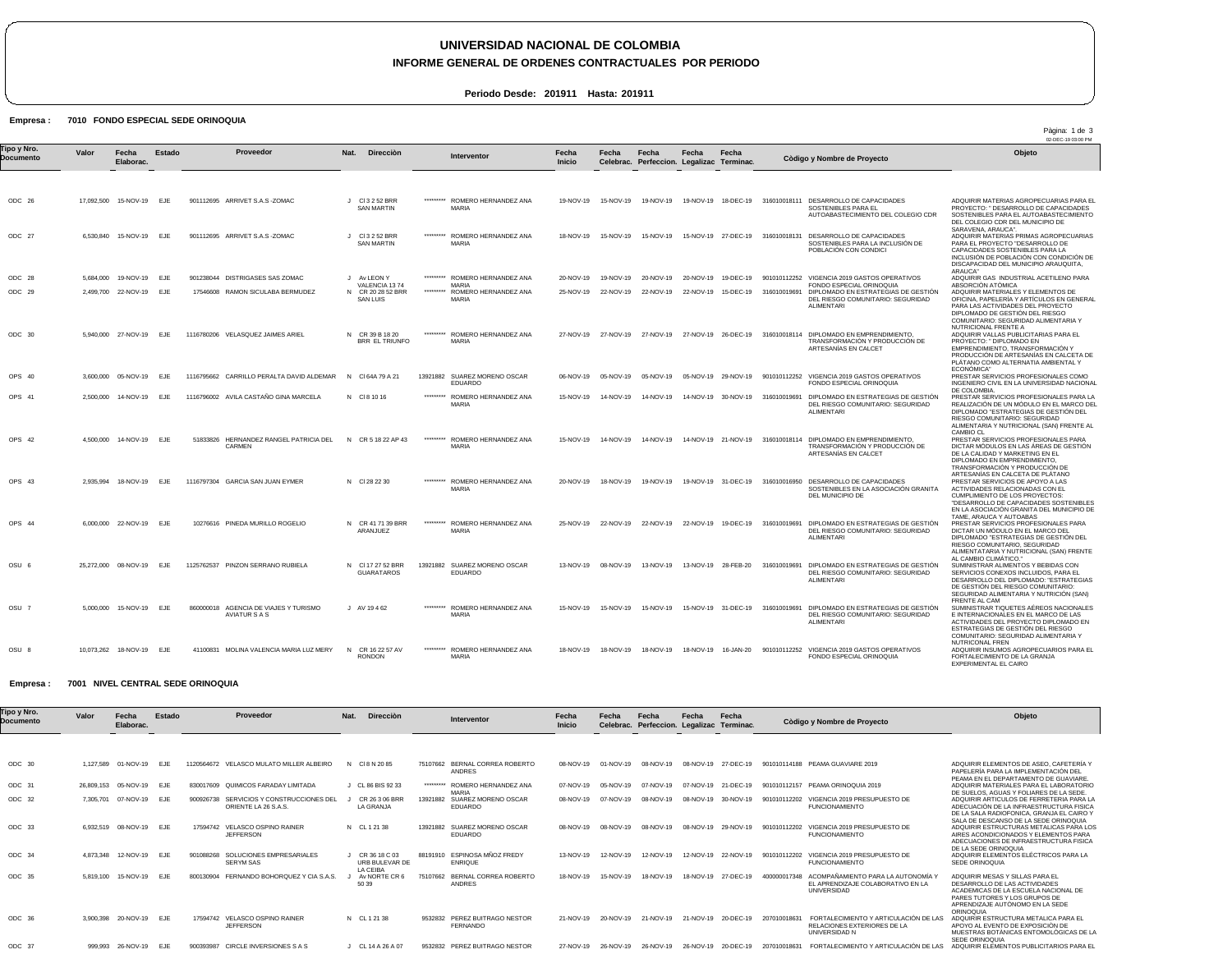# **UNIVERSIDAD NACIONAL DE COLOMBIA**

## **INFORME GENERAL DE ORDENES CONTRACTUALES POR PERIODO**

Pàgina: 1 de 3

**Periodo Desde: 201911 Hasta: 201911**

## Empresa : 7010 FONDO ESPECIAL SEDE ORINOQUIA

|                          |       |                            |            |                                                         |         |                                        |           |                                                |                        |                     |                                                    |           |                     |                                                                                                     |                                                                          | 02-DEC-19 03:00 PM                                                                                                                                                                                                      |
|--------------------------|-------|----------------------------|------------|---------------------------------------------------------|---------|----------------------------------------|-----------|------------------------------------------------|------------------------|---------------------|----------------------------------------------------|-----------|---------------------|-----------------------------------------------------------------------------------------------------|--------------------------------------------------------------------------|-------------------------------------------------------------------------------------------------------------------------------------------------------------------------------------------------------------------------|
| Tipo y Nro.<br>Documento | Valor | Fecha<br>Elaborac.         | Estado     | Proveedor                                               | Nat.    | Direcciòn                              |           | Interventor                                    | Fecha<br><b>Inicio</b> | Fecha               | Fecha<br>Celebrac. Perfeccion. Legalizac Terminac. | Fecha     | Fecha               | Còdigo y Nombre de Proyecto                                                                         |                                                                          | Objeto                                                                                                                                                                                                                  |
| $ODC$ 26                 |       | 17.092.500  15-NOV-19      | <b>EJE</b> | 901112695 ARRIVET S.A.S - ZOMAC                         | $\cdot$ | CI 3 2 52 BRR<br><b>SAN MARTIN</b>     | ********* | ROMERO HERNANDEZ ANA<br><b>MARIA</b>           | 19-NOV-19              | 15-NOV-19           | 19-NOV-19                                          | 19-NOV-19 | 18-DEC-19           | 316010018111 DESARROLLO DE CAPACIDADES<br>SOSTENIBLES PARA EL                                       |                                                                          | ADQUIRIR MATERIAS AGROPECUARIAS PARA EL<br>PROYECTO: " DESARROLLO DE CAPACIDADES                                                                                                                                        |
|                          |       |                            |            |                                                         |         |                                        |           |                                                |                        |                     |                                                    |           |                     |                                                                                                     | AUTOABASTECIMIENTO DEL COLEGIO CDR                                       | SOSTENIBLES PARA EL AUTOABASTECIMIENTO<br>DEL COLEGIO CDR DEL MUNICIPIO DE<br>SARAVENA, ARAUCA".                                                                                                                        |
| ODC 27                   |       | 6,530,840 15-NOV-19        | EJE        | 901112695 ARRIVET S.A.S - ZOMAC                         |         | CI 3 2 52 BRR<br><b>SAN MARTIN</b>     | ********* | ROMERO HERNANDEZ ANA<br>MARIA                  | 18-NOV-19              | 15-NOV-19           | 15-NOV-19                                          |           | 15-NOV-19 27-DEC-19 | 316010018131 DESARROLLO DE CAPACIDADES<br>SOSTENIBLES PARA LA INCLUSIÓN DE<br>POBLACIÓN CON CONDICI |                                                                          | ADQUIRIR MATERIAS PRIMAS AGROPECUARIAS<br>PARA EL PROYECTO "DESARROLLO DE<br>CAPACIDADES SOSTENIBLES PARA LA<br>INCLUSIÓN DE POBLACIÓN CON CONDICIÓN DE<br>DISCAPACIDAD DEL MUNICIPIO ARAUQUITA,<br>ARAUCA"             |
| ODC 28                   |       | 5.684.000 19-NOV-19        | EJE        | 901238044 DISTRIGASES SAS ZOMAC                         |         | J Av LEON Y<br>VALENCIA 1374           | ********* | ROMERO HERNANDEZ ANA<br>MARIA                  | 20-NOV-19              | 19-NOV-19           | 20-NOV-19                                          |           | 20-NOV-19 19-DEC-19 | 901010112252 VIGENCIA 2019 GASTOS OPERATIVOS<br>FONDO ESPECIAL ORINOQUIA                            |                                                                          | ADQUIRIR GAS INDUSTRIAL ACETILENO PARA<br>ABSORCIÓN ATÒMICA                                                                                                                                                             |
| $ODC$ 29                 |       | 2,499,700 22-NOV-19        | E.JF       | 17546608 RAMON SICULABA BERMUDEZ                        | N       | CR 20 28 52 BRR<br><b>SAN LUIS</b>     | ********* | ROMERO HERNANDEZ ANA<br><b>MARIA</b>           | 25-NOV-19              | 22-NOV-19           | 22-NOV-19                                          | 22-NOV-19 | 15-DEC-19           | 316010019691<br><b>ALIMENTARI</b>                                                                   | DIPLOMADO EN ESTRATEGIAS DE GESTIÓN<br>DEL RIESGO COMUNITARIO: SEGURIDAD | ADQUIRIR MATERIALES Y ELEMENTOS DE<br>OFICINA, PAPELERIA Y ARTÍCULOS EN GENERAL<br>PARA LAS ACTIVIDADES DEL PROYECTO<br>DIPLOMADO DE GESTIÓN DEL RIESGO<br>COMUNITARIO: SEGURIDAD ALIMENTARIA Y<br>NUTRICIONAL FRENTE A |
| ODC 30                   |       | 5.940.000 27-NOV-19 EJE    |            | 1116780206 VELASQUEZ JAIMES ARIEL                       |         | N CR 39 B 18 20<br>BRR EL TRIUNFO      | ********* | ROMERO HERNANDEZ ANA<br><b>MARIA</b>           |                        | 27-NOV-19 27-NOV-19 | 27-NOV-19                                          |           |                     | 27-NOV-19 26-DEC-19 316010018114 DIPLOMADO EN EMPRENDIMIENTO.<br>ARTESANÍAS EN CALCET               | TRANSFORMACIÓN Y PRODUCCIÓN DE                                           | ADQUIRIR VALLAS PUBLICITARIAS PARA EL<br>PROYECTO: " DIPLOMADO EN<br>EMPRENDIMIENTO. TRANSFORMACIÓN Y<br>PRODUCCIÓN DE ARTESANÍAS EN CALCETA DE<br>PLATANO COMO ALTERNATIA AMBIENTAL Y<br>ECONÓMICA"                    |
| OPS 40                   |       | 3,600,000 05-NOV-19 EJE    |            | 1116795662 CARRILLO PERALTA DAVID ALDEMAR               |         | N CI 64A 79 A 21                       |           | 13921882 SUAREZ MORENO OSCAR<br>EDUARDO        | 06-NOV-19              | 05-NOV-19           | 05-NOV-19                                          |           | 05-NOV-19 29-NOV-19 | 901010112252 VIGENCIA 2019 GASTOS OPERATIVOS<br>FONDO ESPECIAL ORINOQUIA                            |                                                                          | PRESTAR SERVICIOS PROFESIONALES COMO<br>INGENIERO CIVIL EN LA UNIVERSIDAD NACIONAL<br>DE COLOMBIA.                                                                                                                      |
| OPS 41                   |       | 2.500.000 14-NOV-19        | <b>EJE</b> | 1116796002 AVILA CASTAÑO GINA MARCELA                   |         | N CI8 10 16                            | ********* | ROMERO HERNANDEZ ANA<br><b>MARIA</b>           | 15-NOV-19              | 14-NOV-19           | 14-NOV-19                                          |           | 14-NOV-19 30-NOV-19 | 316010019691<br><b>ALIMENTARI</b>                                                                   | DIPLOMADO EN ESTRATEGIAS DE GESTIÓN<br>DEL RIESGO COMUNITARIO: SEGURIDAD | PRESTAR SERVICIOS PROFESIONALES PARA LA<br>REALIZACIÓN DE UN MÓDULO EN EL MARCO DEL<br>DIPLOMADO "ESTRATEGIAS DE GESTIÓN DEL<br>RIESGO COMUNITARIO: SEGURIDAD<br>ALIMENTARIA Y NUTRICIONAL (SAN) FRENTE AL<br>CAMBIO CL |
| OPS 42                   |       | 4,500,000 14-NOV-19        | EJE        | 51833826 HERNANDEZ RANGEL PATRICIA DEL<br><b>CARMEN</b> |         | N CR 5 18 22 AP 43                     | ********* | ROMERO HERNANDEZ ANA<br><b>MARIA</b>           | 15-NOV-19              | 14-NOV-19           | 14-NOV-19                                          |           |                     | 14-NOV-19 21-NOV-19 316010018114 DIPLOMADO EN EMPRENDIMIENTO,<br>ARTESANÍAS EN CALCET               | TRANSFORMACIÓN Y PRODUCCIÓN DE                                           | PRESTAR SERVICIOS PROFESIONALES PARA<br>DICTAR MÓDULOS EN LAS ÁREAS DE GESTIÓN<br>DE LA CALIDAD Y MARKETING EN EL<br>DIPLOMADO EN EMPRENDIMIENTO.<br>TRANSFORMACIÓN Y PRODUCCIÓN DE<br>ARTESANÍAS EN CALCETA DE PLÁTANO |
| OPS 43                   |       | 2.935.994 18-NOV-19        | <b>EJE</b> | 1116797304 GARCIA SAN JUAN EYMER                        |         | N CI 28 22 30                          | ********* | ROMERO HERNANDEZ ANA<br><b>MARIA</b>           | 20-NOV-19              | 18-NOV-19           | 19-NOV-19                                          |           | 19-NOV-19 31-DEC-19 | 316010016950 DESARROLLO DE CAPACIDADES<br>DEL MUNICIPIO DE                                          | SOSTENIBLES EN LA ASOCIACIÓN GRANITA                                     | PRESTAR SERVICIOS DE APOYO A LAS<br>ACTIVIDADES RELACIONADAS CON EL<br>CUMPLIMIENTO DE LOS PROYECTOS:<br>"DESARROLLO DE CAPACIDADES SOSTENIBLES<br>EN LA ASOCIACIÓN GRANITA DEL MUNICIPIO DE<br>TAME, ARAUCA Y AUTOABAS |
| OPS 44                   |       | 6.000.000 22-NOV-19 EJE    |            | 10276616 PINEDA MURILLO ROGELIO                         |         | N CR 41 71 39 BRR<br>ARANJUEZ          | ********* | ROMERO HERNANDEZ ANA<br><b>MARIA</b>           | 25-NOV-19              | 22-NOV-19           | 22-NOV-19                                          |           | 22-NOV-19 19-DEC-19 | 316010019691 DIPLOMADO EN ESTRATEGIAS DE GESTIÓN<br><b>ALIMENTARI</b>                               | DEL RIESGO COMUNITARIO: SEGURIDAD                                        | PRESTAR SERVICIOS PROFESIONALES PARA<br>DICTAR UN MÓDULO EN EL MARCO DEL<br>DIPLOMADO "ESTRATEGIAS DE GESTIÓN DEL<br>RIESGO COMUNITARIO, SEGURIDAD<br>ALIMENTATARIA Y NUTRICIONAL (SAN) FRENTE<br>AL CAMBIO CLIMÁTICO." |
| OSU 6                    |       | 25,272,000 08-NOV-19       | <b>EJE</b> | 1125762537 PINZON SERRANO RUBIELA                       |         | N CI 17 27 52 BRR<br><b>GUARATAROS</b> |           | 13921882 SUAREZ MORENO OSCAR<br><b>EDUARDO</b> | 13-NOV-19              | 08-NOV-19           | 13-NOV-19                                          | 13-NOV-19 | 28-FEB-20           | 316010019691 DIPLOMADO EN ESTRATEGIAS DE GESTIÓN<br><b>ALIMENTARI</b>                               | DEL RIESGO COMUNITARIO: SEGURIDAD                                        | SUMINISTRAR ALIMENTOS Y BEBIDAS CON<br>SERVICIOS CONEXOS INCLUIDOS, PARA EL<br>DESARROLLO DEL DIPLOMADO: "ESTRATEGIAS<br>DE GESTIÓN DEL RIESGO COMUNITARIO:<br>SEGURIDAD ALIMENTARIA Y NUTRICIÓN (SAN)<br>FRENTE AL CAM |
| OSU 7                    |       | 5,000,000 15-NOV-19 EJE    |            | 860000018 AGENCIA DE VIAJES Y TURISMO<br>AVIATUR S A S  |         | J AV 19462                             | ********* | ROMERO HERNANDEZ ANA<br>MARIA                  | 15-NOV-19              | 15-NOV-19           | 15-NOV-19                                          |           | 15-NOV-19 31-DEC-19 | 316010019691 DIPLOMADO EN ESTRATEGIAS DE GESTIÓN<br><b>ALIMENTARI</b>                               | DEL RIESGO COMUNITARIO: SEGURIDAD                                        | SUMINISTRAR TIQUETES AÉREOS NACIONALES<br>E INTERNACIONALES EN EL MARCO DE LAS<br>ACTIVIDADES DEL PROYECTO DIPLOMADO EN<br>ESTRATEGIAS DE GESTIÓN DEL RIESGO<br>COMUNITARIO: SEGURIDAD ALIMENTARIA Y<br>NUTRICONAL FREN |
| OSU 8                    |       | 10.073.262  18-NOV-19  EJE |            | 41100831 MOLINA VALENCIA MARIA LUZ MERY                 |         | N CR 16 22 57 AV<br><b>RONDON</b>      | ********* | ROMERO HERNANDEZ ANA<br><b>MARIA</b>           | 18-NOV-19              | 18-NOV-19           | 18-NOV-19                                          | 18-NOV-19 | 16-JAN-20           | 901010112252 VIGENCIA 2019 GASTOS OPERATIVOS<br>FONDO ESPECIAL ORINOQUIA                            |                                                                          | ADQUIRIR INSUMOS AGROPECUARIOS PARA EL<br>FORTALECIMIENTO DE LA GRANJA<br>EXPERIMENTAL EL CAIRO                                                                                                                         |

#### Empresa : 7001 NIVEL CENTRAL SEDE ORINOQUIA

| Tipo y Nro.<br>Documento | Valor      | Fecha<br>Elaborac. | Estado     |            | Proveedor                                              | Nat.<br>Dirección                  |           | Interventor                                    | Fecha<br><b>Inicio</b> | Fecha<br>Celebrac. | Fecha<br>Perfeccion. | Fecha<br>Legalizac | Fecha<br><b>Terminac</b> |              | Còdigo y Nombre de Proyecto                                                                 | Objeto                                                                                                                                                                                    |
|--------------------------|------------|--------------------|------------|------------|--------------------------------------------------------|------------------------------------|-----------|------------------------------------------------|------------------------|--------------------|----------------------|--------------------|--------------------------|--------------|---------------------------------------------------------------------------------------------|-------------------------------------------------------------------------------------------------------------------------------------------------------------------------------------------|
|                          |            |                    |            |            |                                                        |                                    |           |                                                |                        |                    |                      |                    |                          |              |                                                                                             |                                                                                                                                                                                           |
| ODC 30                   | 1.127.589  | 01-NOV-19          | <b>EJE</b> | 1120564672 | VELASCO MULATO MILLER ALBEIRO                          | N CI8N2085                         | 75107662  | BERNAL CORREA ROBERTO<br><b>ANDRES</b>         | 08-NOV-19              | 01-NOV-19          | 08-NOV-19            | 08-NOV-19          | 27-DEC-19                |              | 901010114188 PEAMA GUAVIARE 2019                                                            | ADQUIRIR ELEMENTOS DE ASEO. CAFETERÍA Y<br>PAPELERÍA PARA LA IMPLEMENTACIÓN DEL                                                                                                           |
| ODC 31                   | 26,809.153 | 05-NOV-19 EJE      |            |            | 830017609 QUIMICOS FARADAY LIMITADA                    | J CL 86 BIS 92 33                  | ********* | ROMERO HERNANDEZ ANA                           | 07-NOV-19              | 05-NOV-19          | 07-NOV-19            | 07-NOV-19          | 21-DEC-19                |              | 901010112157 PEAMA ORINOQUIA 2019                                                           | PEAMA EN EL DEPARTAMENTO DE GUAVIARE<br>ADQUIRIR MATERIALES PARA EL LABORATORIO                                                                                                           |
| ODC 32                   | 7.305.701  | 07-NOV-19 EJE      |            | 900926738  | SERVICIOS Y CONSTRUCCIONES DEL<br>ORIENTE LA 26 S.A.S. | CR 26 3 06 BRR<br>LA GRANJA        | 13921882  | <b>MARIA</b><br>SUAREZ MORENO OSCAR<br>EDUARDO | 08-NOV-19              | 07-NOV-19          | 08-NOV-19            | 08-NOV-19          | 30-NOV-19                | 901010112202 | VIGENCIA 2019 PRESUPUESTO DE<br><b>FUNCIONAMIENTO</b>                                       | DE SUELOS, AGUAS Y FOLIARES DE LA SEDE.<br>ADQUIRIR ARTICULOS DE FERRETERIA PARA LA<br>ADECUACIÓN DE LA INFRAESTRUCTURA FISICA<br>DE LA SALA RADIOFONICA, GRANJA EL CAIRO Y               |
| ODC 33                   | 6.932.519  | 08-NOV-19 EJE      |            | 17594742   | <b>VELASCO OSPINO RAINER</b><br><b>JEFFERSON</b>       | N CL 12138                         |           | 13921882 SUAREZ MORENO OSCAR<br>EDUARDO        | 08-NOV-19              | 08-NOV-19          | 08-NOV-19            | 08-NOV-19          | 29-NOV-19                | 901010112202 | VIGENCIA 2019 PRESUPUESTO DE<br><b>FUNCIONAMIENTO</b>                                       | SALA DE DESCANSO DE LA SEDE ORINOQUIA<br>ADQUIRIR ESTRUCTURAS METALICAS PARA LOS<br>AIRES ACONDICIONADOS Y ELEMENTOS PARA<br>ADECUACIONES DE INFRAESTRUCTURA FISICA                       |
| ODC 34                   | 4.873.348  | 12-NOV-19          | <b>EJE</b> | 901088268  | SOLUCIONES EMPRESARIALES<br><b>SERYM SAS</b>           | CR 36 18 C 03<br>URB BULEVAR DE    | 88191910  | ESPINOSA MÑOZ FREDY<br><b>ENRIQUE</b>          | 13-NOV-19              | 12-NOV-19          | 12-NOV-19            | 12-NOV-19          | 22-NOV-19                | 901010112202 | VIGENCIA 2019 PRESUPUESTO DE<br><b>FUNCIONAMIENTO</b>                                       | DE LA SEDE ORINOQUIA<br>ADQUIRIR ELEMENTOS ELÉCTRICOS PARA LA<br>SEDE ORINOQUIA                                                                                                           |
| ODC 35                   | 5.819.100  | 15-NOV-19          | EJE        | 800130904  | FERNANDO BOHORQUEZ Y CIA S.A.S                         | LA CEIBA<br>Av NORTE CR 6<br>50 39 | 75107662  | BERNAL CORREA ROBERTO<br><b>ANDRES</b>         | 18-NOV-19              | 15-NOV-19          | 18-NOV-19            | 18-NOV-19          | 27-DEC-19                | 400000017348 | ACOMPAÑAMIENTO PARA LA AUTONOMÍA<br>EL APRENDIZAJE COLABORATIVO EN LA<br><b>UNIVERSIDAD</b> | ADQUIRIR MESAS Y SILLAS PARA EL<br>DESARROLLO DE LAS ACTIVIDADES<br>ACADEMICAS DE LA ESCUELA NACIONAL DE<br>PARES TUTORES Y LOS GRUPOS DE<br>APRENDIZAJE AUTÒNOMO EN LA SEDE<br>ORINOQUIA |
| ODC 36                   | 3.900.398  | 20-NOV-19          | <b>EJE</b> | 17594742   | <b>VELASCO OSPINO RAINER</b><br><b>JEFFERSON</b>       | N CL 12138                         | 9532832   | PEREZ BUITRAGO NESTOR<br><b>FERNANDO</b>       | 21-NOV-19              | 20-NOV-19          | 21-NOV-19            | 21-NOV-19          | 20-DEC-19                | 207010018631 | FORTALECIMIENTO Y ARTICULACIÓN DE LAS<br>RELACIONES EXTERIORES DE LA<br>UNIVERSIDAD N       | ADQUIRIR ESTRUCTURA METALICA PARA EL<br>APOYO AL EVENTO DE EXPOSICIÓN DE<br>MUESTRAS BOTÀNICAS ENTOMOLÒGICAS DE LA                                                                        |
| ODC 37                   | 999.993    | 26-NOV-19          | <b>EJE</b> | 900393987  | <b>CIRCLE INVERSIONES S A S</b>                        | J CL 14 A 26 A 07                  | 9532832   | PEREZ BUITRAGO NESTOR                          | 27-NOV-19              | 26-NOV-19          | 26-NOV-19            |                    | 26-NOV-19 20-DEC-19      | 207010018631 | FORTALECIMIENTO Y ARTICULACIÓN DE LAS                                                       | SEDE ORINOQUIA<br>ADQUIRIR ELEMENTOS PUBLICITARIOS PARA EL                                                                                                                                |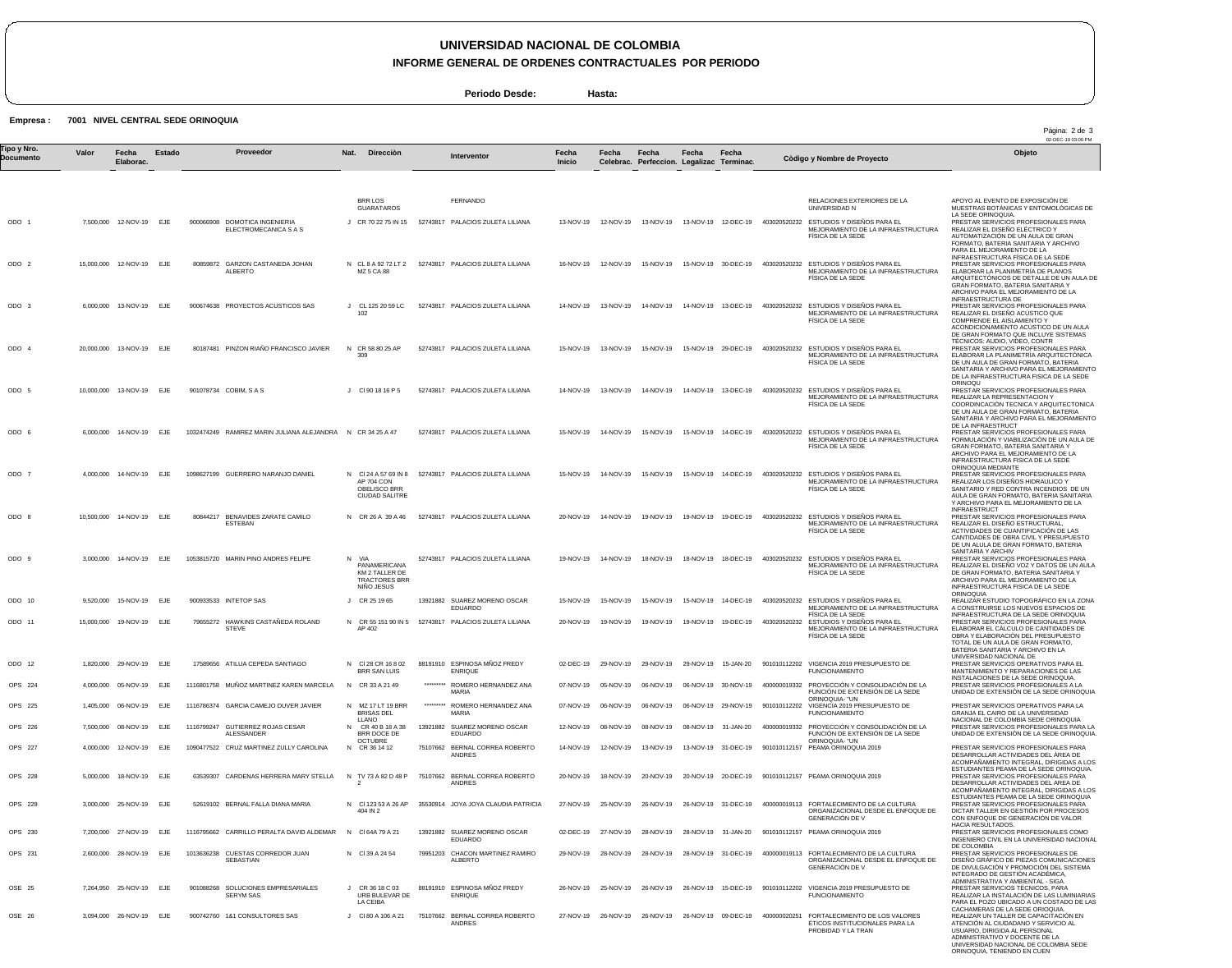## **UNIVERSIDAD NACIONAL DE COLOMBIA**

**INFORME GENERAL DE ORDENES CONTRACTUALES POR PERIODO**

**Periodo Desde: Hasta:**

**Empresa : 7001 NIVEL CENTRAL SEDE ORINOQUIA**

| 'ipo y Nro.<br>Documento | Valor     | Fecha<br>Elaborac.         | Estado | Proveedor                                                  | Nat.<br>Direcciòn                                                             |           | Interventor                                           | Fecha<br><b>Inicio</b> | Fecha               | Fecha<br>Celebrac. Perfeccion. Legalizac Terminac. | Fecha     | Fecha               |              | Còdigo y Nombre de Proyecto                                                                                             | Objeto                                                                                                                                                                                                                                                          |
|--------------------------|-----------|----------------------------|--------|------------------------------------------------------------|-------------------------------------------------------------------------------|-----------|-------------------------------------------------------|------------------------|---------------------|----------------------------------------------------|-----------|---------------------|--------------|-------------------------------------------------------------------------------------------------------------------------|-----------------------------------------------------------------------------------------------------------------------------------------------------------------------------------------------------------------------------------------------------------------|
|                          |           |                            |        |                                                            |                                                                               |           |                                                       |                        |                     |                                                    |           |                     |              |                                                                                                                         |                                                                                                                                                                                                                                                                 |
|                          |           |                            |        |                                                            | <b>BRR LOS</b><br><b>GUARATAROS</b>                                           |           | FERNANDO                                              |                        |                     |                                                    |           |                     |              | RELACIONES EXTERIORES DE LA<br>UNIVERSIDAD N                                                                            | APOYO AL EVENTO DE EXPOSICIÓN DE<br>MUESTRAS BOTÁNICAS Y ENTOMOLÓGICAS DE                                                                                                                                                                                       |
| ODO 1                    |           | 7.500.000 12-NOV-19 EJE    |        | 900066908 DOMOTICA INGENIERIA<br>ELECTROMECANICA S A S     | J CR 70 22 75 IN 15                                                           |           | 52743817 PALACIOS ZULETA LILIANA                      | 13-NOV-19              | 12-NOV-19           | 13-NOV-19                                          |           | 13-NOV-19 12-DEC-19 | 403020520232 | ESTUDIOS Y DISEÑOS PARA EL<br>MEJORAMIENTO DE LA INFRAESTRUCTURA<br>FISICA DE LA SEDE                                   | LA SEDE ORINOQUIA.<br>PRESTAR SERVICIOS PROFESIONALES PARA<br>REALIZAR EL DISENO ELÉCTRICO Y<br>AUTOMATIZACIÓN DE UN AULA DE GRAN<br>FORMATO, BATERIA SANITARIA Y ARCHIVO<br>PARA EL MEJORAMIENTO DE LA                                                         |
| ODO 2                    |           | 15,000,000  12-NOV-19      | EJE    | 80859872 GARZON CASTANEDA JOHAN<br>ALBERTO                 | MZ 5 CA 88                                                                    |           | N CL 8 A 92 72 LT 2 52743817 PALACIOS ZULETA LILIANA  | 16-NOV-19              | 12-NOV-19           | 15-NOV-19                                          |           | 15-NOV-19 30-DEC-19 | 403020520232 | ESTUDIOS Y DISEÑOS PARA EL<br>MEJORAMIENTO DE LA INFRAESTRUCTURA<br>FISICA DE LA SEDE                                   | INFRAESTRUCTURA FÍSICA DE LA SEDE<br>PRESTAR SERVICIOS PROFESIONALES PARA<br>ELABORAR LA PLANIMETRIA DE PLANOS<br>ARQUITECTÓNICOS DE DETALLE DE UN AULA DE<br>GRAN FORMATO, BATERIA SANITARIA Y<br>ARCHIVO PARA EL MEJORAMIENTO DE LA                           |
| ODO <sub>3</sub>         |           | 6,000,000 13-NOV-19 EJE    |        | 900674638 PROYECTOS ACUSTICOS SAS                          | J CL 125 20 59 LC<br>102                                                      |           | 52743817 PALACIOS ZULETA LILIANA                      | 14-NOV-19              | 13-NOV-19           | 14-NOV-19                                          |           | 14-NOV-19 13-DEC-19 | 403020520232 | ESTUDIOS Y DISEÑOS PARA EL<br>MEJORAMIENTO DE LA INFRAESTRUCTURA<br>FISICA DE LA SEDE                                   | INFRAESTRUCTURA DE<br>PRESTAR SERVICIOS PROFESIONALES PARA<br>REALIZAR EL DISENO ACUSTICO QUE<br>COMPRENDE EL AISLAMIENTO Y<br>ACONDICIONAMIENTO ACUSTICO DE UN AULA<br>DE GRAN FORMATO QUE INCLUYE SISTEMAS                                                    |
| ODO 4                    |           | 20,000,000 13-NOV-19 EJE   |        | 80187481 PINZON RIAÑO FRANCISCO JAVIER                     | N CR 58 80 25 AP<br>309                                                       |           | 52743817 PALACIOS ZULETA LILIANA                      | 15-NOV-19              | 13-NOV-19           | 15-NOV-19                                          |           | 15-NOV-19 29-DEC-19 |              | 403020520232 ESTUDIOS Y DISEÑOS PARA EL<br>MEJORAMIENTO DE LA INFRAESTRUCTURA<br>FISICA DE LA SEDE                      | TÉCNICOS: AUDIO, VIDEO, CONTR<br>PRESTAR SERVICIOS PROFESIONALES PARA<br>ELABORAR LA PLANIMETRÍA ARQUITECTÓNICA<br>DE UN AULA DE GRAN FORMATO, BATERIA<br>SANITARIA Y ARCHIVO PARA EL MEJORAMIENTO<br>DE LA INFRAESTRUCTURA FISICA DE LA SEDE                   |
| ODO 5                    |           | 10,000,000 13-NOV-19 EJE   |        | 901078734 COBIM, SAS                                       | J CI901816P5                                                                  |           | 52743817 PALACIOS ZULETA LILIANA                      | 14-NOV-19              | 13-NOV-19           | 14-NOV-19                                          |           | 14-NOV-19 13-DEC-19 |              | 403020520232 ESTUDIOS Y DISEÑOS PARA EL<br>MEJORAMIENTO DE LA INFRAESTRUCTURA<br>FISICA DE LA SEDE                      | ORINOQU<br>PRESTAR SERVICIOS PROFESIONALES PARA<br>REALIZAR LA REPRESENTACION Y<br>COORDINCACIÓN TECNICA Y ARQUITECTONICA<br>DE UN AULA DE GRAN FORMATO, BATERIA<br>SANITARIA Y ARCHIVO PARA EL MEJORAMIENTO<br>DE LA INFRAESTRUCT                              |
| ODO 6                    |           | 6,000,000 14-NOV-19        | EJE    | 1032474249 RAMIREZ MARIN JULIANA ALEJANDRA N CR 34 25 A 47 |                                                                               |           | 52743817 PALACIOS ZULETA LILIANA                      | 15-NOV-19              | 14-NOV-19           | 15-NOV-19                                          |           | 15-NOV-19 14-DEC-19 |              | 403020520232 ESTUDIOS Y DISENOS PARA EL<br>MEJORAMIENTO DE LA INFRAESTRUCTURA<br>FISICA DE LA SEDE                      | PRESTAR SERVICIOS PROFESIONALES PARA<br>FORMULACIÓN Y VIABILIZACIÓN DE UN AULA DE<br>GRAN FORMATO, BATERIA SANITARIA Y<br>ARCHIVO PARA EL MEJORAMIENTO DE LA<br>INFRAESTRUCTURA FISICA DE LA SEDE<br>ORINOQUIA MEDIANTE                                         |
| ODO 7                    |           | 4,000,000 14-NOV-19        | EJE    | 1098627199 GUERRERO NARANJO DANIEL                         | AP 704 CON<br>OBELISCO BRR<br><b>CIUDAD SALITRE</b>                           |           | N CI 24 A 57 69 IN 8 52743817 PALACIOS ZULETA LILIANA | 15-NOV-19              | 14-NOV-19           | 15-NOV-19                                          | 15-NOV-19 | 14-DEC-19           | 403020520232 | ESTUDIOS Y DISEÑOS PARA EL<br>MEJORAMIENTO DE LA INFRAESTRUCTURA<br>FISICA DE LA SEDE                                   | PRESTAR SERVICIOS PROFESIONALES PARA<br>REALIZAR LOS DISEÑOS HIDRAULICO Y<br>SANITARIO Y RED CONTRA INCENDIOS DE UN<br>AULA DE GRAN FORMATO, BATERIA SANITARIA<br>Y ARCHIVO PARA EL MEJORAMIENTO DE LA<br><b>INFRAESTRUCT</b>                                   |
| ODO 8                    |           | 10,500,000  14-NOV-19  EJE |        | 80844217 BENAVIDES ZARATE CAMILO<br><b>ESTEBAN</b>         | N CR 26 A 39 A 46                                                             |           | 52743817 PALACIOS ZULETA LILIANA                      | 20-NOV-19              | 14-NOV-19           | 19-NOV-19                                          |           | 19-NOV-19 19-DEC-19 |              | 403020520232 ESTUDIOS Y DISEÑOS PARA EL<br>MEJORAMIENTO DE LA INFRAESTRUCTURA<br>FÍSICA DE LA SEDE                      | PRESTAR SERVICIOS PROFESIONALES PARA<br>REALIZAR EL DISENO ESTRUCTURAL,<br>ACTIVIDADES DE CUANTIFICACIÓN DE LAS<br>CANTIDADES DE OBRA CIVIL Y PRESUPUESTO<br>DE UN ALULA DE GRAN FORMATO, BATERIA<br>SANITARIA Y ARCHIV                                         |
| ODO 9                    |           | 3,000,000 14-NOV-19 EJE    |        | 1053815720 MARIN PINO ANDRES FELIPE                        | N VIA<br>PANAMERICANA<br>KM 2 TALLER DE<br><b>TRACTORES BRR</b><br>NIÑO JESUS |           | 52743817 PALACIOS ZULETA LILIANA                      | 19-NOV-19              | 14-NOV-19           | 18-NOV-19                                          |           | 18-NOV-19 18-DEC-19 | 403020520232 | ESTUDIOS Y DISEÑOS PARA EL<br>MEJORAMIENTO DE LA INFRAESTRUCTURA<br>FÍSICA DE LA SEDE                                   | PRESTAR SERVICIOS PROFESIONALES PARA<br>REALIZAR EL DISEÑO VOZ Y DATOS DE UN AULA<br>DE GRAN FORMATO, BATERIA SANITARIA Y<br>ARCHIVO PARA EL MEJORAMIENTO DE LA<br>INFRAESTRUCTURA FISICA DE LA SEDE<br><b>ORINOQUIA</b>                                        |
| ODO 10                   |           | 9,520,000 15-NOV-19        | EJE    | 900933533 INTETOP SAS                                      | CR 25 19 65                                                                   |           | 13921882 SUAREZ MORENO OSCAR<br><b>EDUARDO</b>        | 15-NOV-19              | 15-NOV-19           | 15-NOV-19                                          | 15-NOV-19 | 14-DEC-19           |              | 403020520232 ESTUDIOS Y DISEÑOS PARA EL<br>MEJORAMIENTO DE LA INFRAESTRUCTURA                                           | REALIZAR ESTUDIO TOPOGRÁFICO EN LA ZONA<br>A CONSTRUIRSE LOS NUEVOS ESPACIOS DE                                                                                                                                                                                 |
| ODO 11                   |           | 15,000,000 19-NOV-19 EJE   |        | 79655272 HAWKINS CASTAÑEDA ROLAND<br><b>STEVE</b>          | AP 402                                                                        |           | N CR 55 151 90 IN 5 52743817 PALACIOS ZULETA LILIANA  | 20-NOV-19              | 19-NOV-19           | 19-NOV-19                                          |           | 19-NOV-19 19-DEC-19 |              | FÍSICA DE LA SEDE<br>403020520232 ESTUDIOS Y DISENOS PARA EL<br>MEJORAMIENTO DE LA INFRAESTRUCTURA<br>FISICA DE LA SEDE | INFRAESTRUCTURA DE LA SEDE ORINOQUIA<br>PRESTAR SERVICIOS PROFESIONALES PARA<br>ELABORAR EL CÀLCULO DE CANTIDADES DE<br>OBRA Y ELABORACIÓN DEL PRESUPUESTO<br>TOTAL DE UN AULA DE GRAN FORMATO,<br>BATERIA SANITARIA Y ARCHIVO EN LA<br>UNIVERSIDAD NACIONAL DE |
| ODO 12                   |           | 1.820.000 29-NOV-19 EJE    |        | 17589656 ATILUA CEPEDA SANTIAGO                            | N CI28 CR 16 8 02<br>BRR SAN LUIS                                             |           | 88191910 ESPINOSA MÑOZ FREDY<br><b>ENRIQUE</b>        | 02-DEC-19              | 29-NOV-19           | 29-NOV-19                                          |           | 29-NOV-19 15-JAN-20 |              | 901010112202 VIGENCIA 2019 PRESUPUESTO DE<br><b>FUNCIONAMIENTO</b>                                                      | PRESTAR SERVICIOS OPERATIVOS PARA EL<br>MANTENIMIENTO Y REPARACIONES DE LAS<br>INSTALACIONES DE LA SEDE ORINOQUIA.                                                                                                                                              |
| OPS 224                  |           | 4,000,000 05-NOV-19 EJE    |        | 1116801758 MUÑOZ MARTINEZ KAREN MARCELA                    | N CR 33 A 21 49                                                               | ********* | ROMERO HERNANDEZ ANA<br>MARIA                         | 07-NOV-19              |                     | 05-NOV-19 06-NOV-19                                |           | 06-NOV-19 30-NOV-19 |              | 400000019332 PROYECCIÓN Y CONSOLIDACIÓN DE LA<br>FUNCIÓN DE EXTENSIÓN DE LA SEDE<br>ORINOQUIA- "UN                      | PRESTAR SERVICIOS PROFESIONALES A LA<br>UNIDAD DE EXTENSIÓN DE LA SEDE ORINOQUIA                                                                                                                                                                                |
| OPS 225                  |           | 1.405.000 06-NOV-19 EJE    |        | 1116786374 GARCIA CAMEJO DUVER JAVIER                      | N MZ 17 LT 19 BRR<br>BRISAS DEL<br>LLANO                                      | ********* | ROMERO HERNANDEZ ANA<br><b>MARIA</b>                  | 07-NOV-19              |                     | 06-NOV-19 06-NOV-19                                |           | 06-NOV-19 29-NOV-19 | 901010112202 | VIGENCIA 2019 PRESUPUESTO DE<br><b>FUNCIONAMIENTO</b>                                                                   | PRESTAR SERVICIOS OPERATIVOS PARA LA<br>GRANJA EL CAIRO DE LA UNIVERSIDAD<br>NACIONAL DE COLOMBIA SEDE ORINOQUIA                                                                                                                                                |
| OPS 226                  | 7,500,000 | 08-NOV-19                  | EJE    | 1116799247 GUTIERREZ ROJAS CESAR<br><b>ALESSANDER</b>      | N CR 40 B 18 A 38<br>BRR DOCE DE<br><b>OCTUBRE</b>                            |           | 13921882 SUAREZ MORENO OSCAR<br><b>EDUARDO</b>        | 12-NOV-19              | 08-NOV-19           | 08-NOV-19                                          |           | 08-NOV-19 31-JAN-20 |              | 400000019332 PROYECCIÓN Y CONSOLIDACIÓN DE LA<br>FUNCIÓN DE EXTENSIÓN DE LA SEDE<br>ORINOQUIA- "UN                      | PRESTAR SERVICIOS PROFESIONALES PARA LA<br>UNIDAD DE EXTENSIÓN DE LA SEDE ORINOQUIA                                                                                                                                                                             |
| OPS 227                  | 4,000,000 | 12-NOV-19                  | EJE    | 1090477522 CRUZ MARTINEZ ZULLY CAROLINA                    | N CR 36 14 12                                                                 |           | 75107662 BERNAL CORREA ROBERTO<br>ANDRES              | 14-NOV-19              | 12-NOV-19           | 13-NOV-19                                          |           | 13-NOV-19 31-DEC-19 |              | 901010112157 PEAMA ORINOQUIA 2019                                                                                       | PRESTAR SERVICIOS PROFESIONALES PARA<br>DESARROLLAR ACTIVIDADES DEL AREA DE<br>ACOMPAÑAMIENTO INTEGRAL, DIRIGIDAS A LOS                                                                                                                                         |
| OPS 228                  |           | 5,000,000 18-NOV-19        | EJE    | 63539307 CARDENAS HERRERA MARY STELLA                      | N TV 73 A 82 D 48 P                                                           |           | 75107662 BERNAL CORREA ROBERTO<br>ANDRES              | 20-NOV-19              | 18-NOV-19           | 20-NOV-19                                          |           | 20-NOV-19 20-DEC-19 |              | 901010112157 PEAMA ORINOQUIA 2019                                                                                       | ESTUDIANTES PEAMA DE LA SEDE ORINOQUIA.<br>PRESTAR SERVICIOS PROFESIONALES PARA<br>DESARROLLAR ACTIVIDADES DEL AREA DE<br>ACOMPAÑAMIENTO INTEGRAL, DIRIGIDAS A LOS                                                                                              |
| OPS 229                  |           | 3,000,000 25-NOV-19        | EJE    | 52619102 BERNAL FALLA DIANA MARIA                          | N CI 123 53 A 26 AP<br>404 IN 2                                               |           | 35530914 JOYA JOYA CLAUDIA PATRICIA                   | 27-NOV-19              | 25-NOV-19           | 26-NOV-19                                          |           | 26-NOV-19 31-DEC-19 |              | 400000019113 FORTALECIMIENTO DE LA CULTURA<br>ORGANIZACIONAL DESDE EL ENFOQUE DE<br><b>GENERACIÓN DE V</b>              | ESTUDIANTES PEAMA DE LA SEDE ORINOQUIA<br>PRESTAR SERVICIOS PROFESIONALES PARA<br>DICTAR TALLER EN GESTIÓN POR PROCESOS<br>CON ENFOQUE DE GENERACIÓN DE VALOR<br>HACIA RESULTADOS.                                                                              |
| OPS 230                  |           | 7,200,000 27-NOV-19        | EJE    | 1116795662 CARRILLO PERALTA DAVID ALDEMAR                  | N CI64A79 A 21                                                                |           | 13921882 SUAREZ MORENO OSCAR<br><b>EDUARDO</b>        | 02-DEC-19              | 27-NOV-19           | 28-NOV-19                                          |           | 28-NOV-19 31-JAN-20 |              | 901010112157 PEAMA ORINOQUIA 2019                                                                                       | PRESTAR SERVICIOS PROFESIONALES COMO<br>INGENIERO CIVIL EN LA UNIVERSIDAD NACIONAL<br>DE COLOMBIA                                                                                                                                                               |
| OPS 231                  |           | 2,600,000 28-NOV-19 EJE    |        | 1013636238 CUESTAS CORREDOR JUAN<br>SEBASTIAN              | N CI 39 A 24 54                                                               |           | 79951203 CHACON MARTINEZ RAMIRO<br><b>ALBERTO</b>     | 29-NOV-19              | 28-NOV-19           | 28-NOV-19                                          |           | 28-NOV-19 31-DEC-19 |              | 400000019113 FORTALECIMIENTO DE LA CULTURA<br>ORGANIZACIONAL DESDE EL ENFOQUE DE<br><b>GENERACIÓN DE V</b>              | PRESTAR SERVICIOS PROFESIONALES DE<br>DISEÑO GRÁFICO DE PIEZAS COMUNICACIONES<br>DE DIVULGACIÓN Y PROMOCIÓN DEL SISTEMA<br>INTEGRADO DE GESTIÓN ACADÉMICA,<br>ADMINISTRATIVA Y AMBIENTAL - SIGA.                                                                |
| OSE 25                   |           | 7,264,950 25-NOV-19        | EJE    | 901088268 SOLUCIONES EMPRESARIALES<br><b>SERYM SAS</b>     | J CR 36 18 C 03<br>URB BULEVAR DE<br>LA CEIBA                                 | 88191910  | ESPINOSA MÑOZ FREDY<br><b>ENRIQUE</b>                 |                        | 26-NOV-19 25-NOV-19 | 26-NOV-19                                          |           | 26-NOV-19 15-DEC-19 |              | 901010112202 VIGENCIA 2019 PRESUPUESTO DE<br><b>FUNCIONAMIENTO</b>                                                      | PRESTAR SERVICIOS TÉCNICOS, PARA<br>REALIZAR LA INSTALACIÓN DE LAS LUMINIARIAS<br>PARA EL POZO UBICADO A UN COSTADO DE LAS                                                                                                                                      |
| OSE 26                   |           | 3,094,000 26-NOV-19        | EJE    | 900742760 1&1 CONSULTORES SAS                              | J CI80 A 106 A 21                                                             | 75107662  | BERNAL CORREA ROBERTO<br><b>ANDRES</b>                | 27-NOV-19              | 26-NOV-19           | 26-NOV-19                                          |           | 26-NOV-19 09-DEC-19 | 400000020251 | FORTALECIMIENTO DE LOS VALORES<br>ÉTICOS INSTITUCIONALES PARA LA<br>PROBIDAD Y LA TRAN                                  | CACHAMERAS DE LA SEDE ORIOQUIA.<br>REALIZAR UN TALLER DE CAPACITACIÓN EN<br>ATENCIÓN AL CIUDADANO Y SERVICIO AL<br>USUARIO, DIRIGIDA AL PERSONAL<br>ADMINISTRATIVO Y DOCENTE DE LA<br>UNIVERSIDAD NACIONAL DE COLOMBIA SEDE<br>ORINOQUIA, TENIENDO EN CUEN      |

Pàgina: 2 de 3<br>02-DEC-19 03:00 PM